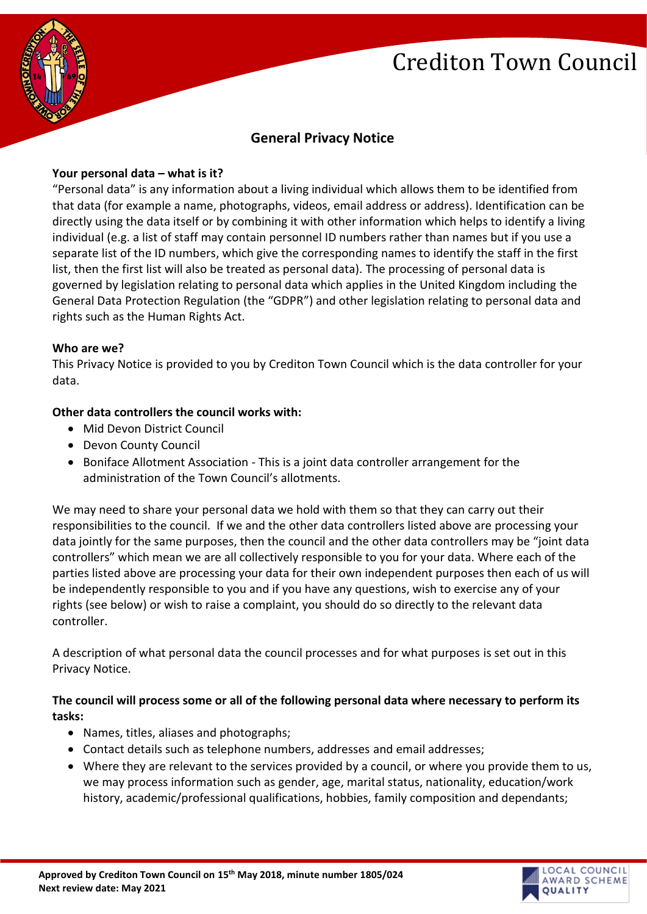



# **General Privacy Notice**

#### **Your personal data – what is it?**

"Personal data" is any information about a living individual which allows them to be identified from that data (for example a name, photographs, videos, email address or address). Identification can be directly using the data itself or by combining it with other information which helps to identify a living individual (e.g. a list of staff may contain personnel ID numbers rather than names but if you use a separate list of the ID numbers, which give the corresponding names to identify the staff in the first list, then the first list will also be treated as personal data). The processing of personal data is governed by legislation relating to personal data which applies in the United Kingdom including the General Data Protection Regulation (the "GDPR") and other legislation relating to personal data and rights such as the Human Rights Act.

#### **Who are we?**

This Privacy Notice is provided to you by Crediton Town Council which is the data controller for your data.

#### **Other data controllers the council works with:**

- Mid Devon District Council
- Devon County Council
- Boniface Allotment Association This is a joint data controller arrangement for the administration of the Town Council's allotments.

We may need to share your personal data we hold with them so that they can carry out their responsibilities to the council. If we and the other data controllers listed above are processing your data jointly for the same purposes, then the council and the other data controllers may be "joint data controllers" which mean we are all collectively responsible to you for your data. Where each of the parties listed above are processing your data for their own independent purposes then each of us will be independently responsible to you and if you have any questions, wish to exercise any of your rights (see below) or wish to raise a complaint, you should do so directly to the relevant data controller.

A description of what personal data the council processes and for what purposes is set out in this Privacy Notice.

# **The council will process some or all of the following personal data where necessary to perform its tasks:**

- Names, titles, aliases and photographs;
- Contact details such as telephone numbers, addresses and email addresses;
- Where they are relevant to the services provided by a council, or where you provide them to us, we may process information such as gender, age, marital status, nationality, education/work history, academic/professional qualifications, hobbies, family composition and dependants;

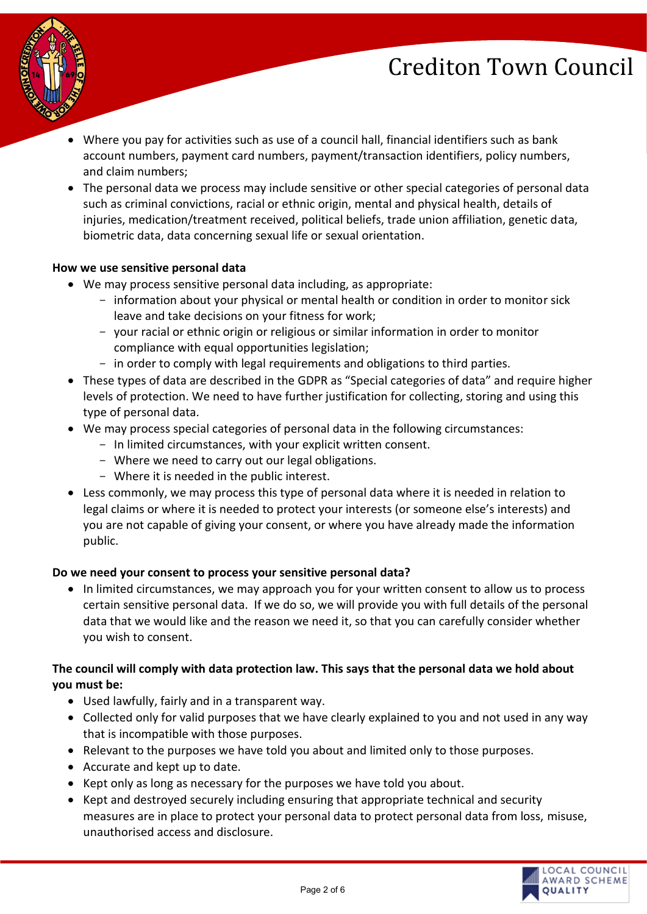

- Where you pay for activities such as use of a council hall, financial identifiers such as bank account numbers, payment card numbers, payment/transaction identifiers, policy numbers, and claim numbers;
- The personal data we process may include sensitive or other special categories of personal data such as criminal convictions, racial or ethnic origin, mental and physical health, details of injuries, medication/treatment received, political beliefs, trade union affiliation, genetic data, biometric data, data concerning sexual life or sexual orientation.

#### **How we use sensitive personal data**

- We may process sensitive personal data including, as appropriate:
	- information about your physical or mental health or condition in order to monitor sick leave and take decisions on your fitness for work;
	- your racial or ethnic origin or religious or similar information in order to monitor compliance with equal opportunities legislation;
	- in order to comply with legal requirements and obligations to third parties.
- These types of data are described in the GDPR as "Special categories of data" and require higher levels of protection. We need to have further justification for collecting, storing and using this type of personal data.
- We may process special categories of personal data in the following circumstances:
	- In limited circumstances, with your explicit written consent.
	- Where we need to carry out our legal obligations.
	- Where it is needed in the public interest.
- Less commonly, we may process this type of personal data where it is needed in relation to legal claims or where it is needed to protect your interests (or someone else's interests) and you are not capable of giving your consent, or where you have already made the information public.

# **Do we need your consent to process your sensitive personal data?**

• In limited circumstances, we may approach you for your written consent to allow us to process certain sensitive personal data. If we do so, we will provide you with full details of the personal data that we would like and the reason we need it, so that you can carefully consider whether you wish to consent.

# **The council will comply with data protection law. This says that the personal data we hold about you must be:**

- Used lawfully, fairly and in a transparent way.
- Collected only for valid purposes that we have clearly explained to you and not used in any way that is incompatible with those purposes.
- Relevant to the purposes we have told you about and limited only to those purposes.
- Accurate and kept up to date.
- Kept only as long as necessary for the purposes we have told you about.
- Kept and destroyed securely including ensuring that appropriate technical and security measures are in place to protect your personal data to protect personal data from loss, misuse, unauthorised access and disclosure.

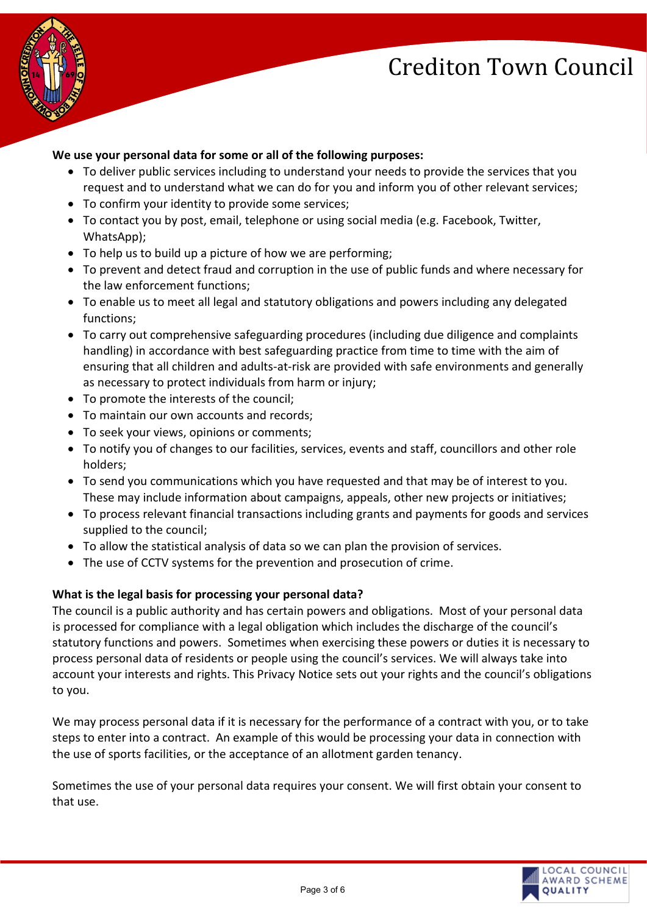

# **We use your personal data for some or all of the following purposes:**

- To deliver public services including to understand your needs to provide the services that you request and to understand what we can do for you and inform you of other relevant services;
- To confirm your identity to provide some services;
- To contact you by post, email, telephone or using social media (e.g. Facebook, Twitter, WhatsApp);
- To help us to build up a picture of how we are performing;
- To prevent and detect fraud and corruption in the use of public funds and where necessary for the law enforcement functions;
- To enable us to meet all legal and statutory obligations and powers including any delegated functions;
- To carry out comprehensive safeguarding procedures (including due diligence and complaints handling) in accordance with best safeguarding practice from time to time with the aim of ensuring that all children and adults-at-risk are provided with safe environments and generally as necessary to protect individuals from harm or injury;
- To promote the interests of the council;
- To maintain our own accounts and records;
- To seek your views, opinions or comments;
- To notify you of changes to our facilities, services, events and staff, councillors and other role holders;
- To send you communications which you have requested and that may be of interest to you. These may include information about campaigns, appeals, other new projects or initiatives;
- To process relevant financial transactions including grants and payments for goods and services supplied to the council;
- To allow the statistical analysis of data so we can plan the provision of services.
- The use of CCTV systems for the prevention and prosecution of crime.

# **What is the legal basis for processing your personal data?**

The council is a public authority and has certain powers and obligations. Most of your personal data is processed for compliance with a legal obligation which includes the discharge of the council's statutory functions and powers. Sometimes when exercising these powers or duties it is necessary to process personal data of residents or people using the council's services. We will always take into account your interests and rights. This Privacy Notice sets out your rights and the council's obligations to you.

We may process personal data if it is necessary for the performance of a contract with you, or to take steps to enter into a contract. An example of this would be processing your data in connection with the use of sports facilities, or the acceptance of an allotment garden tenancy.

Sometimes the use of your personal data requires your consent. We will first obtain your consent to that use.

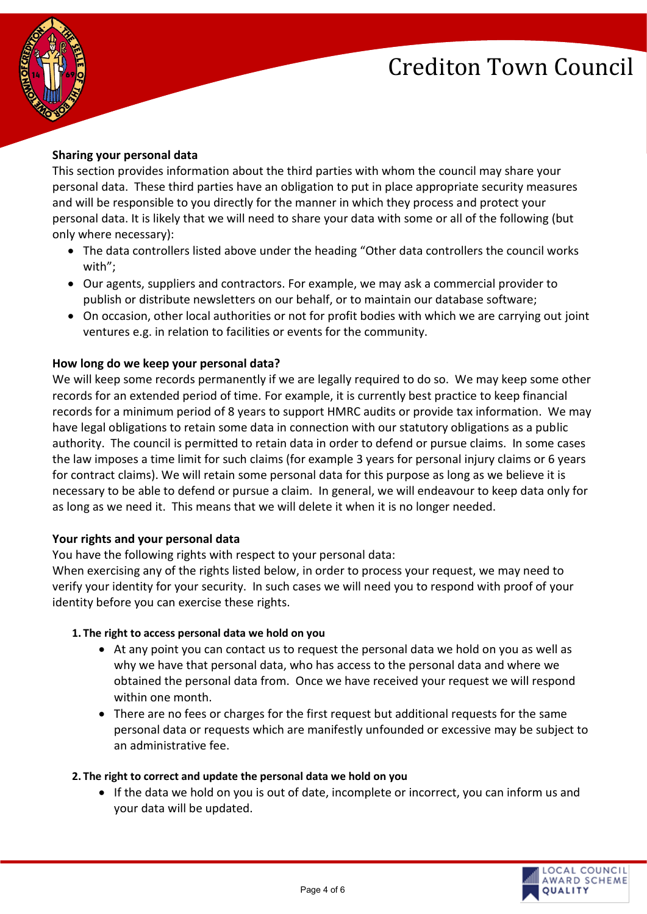

# **Sharing your personal data**

This section provides information about the third parties with whom the council may share your personal data. These third parties have an obligation to put in place appropriate security measures and will be responsible to you directly for the manner in which they process and protect your personal data. It is likely that we will need to share your data with some or all of the following (but only where necessary):

- The data controllers listed above under the heading "Other data controllers the council works with";
- Our agents, suppliers and contractors. For example, we may ask a commercial provider to publish or distribute newsletters on our behalf, or to maintain our database software;
- On occasion, other local authorities or not for profit bodies with which we are carrying out joint ventures e.g. in relation to facilities or events for the community.

# **How long do we keep your personal data?**

We will keep some records permanently if we are legally required to do so. We may keep some other records for an extended period of time. For example, it is currently best practice to keep financial records for a minimum period of 8 years to support HMRC audits or provide tax information. We may have legal obligations to retain some data in connection with our statutory obligations as a public authority. The council is permitted to retain data in order to defend or pursue claims. In some cases the law imposes a time limit for such claims (for example 3 years for personal injury claims or 6 years for contract claims). We will retain some personal data for this purpose as long as we believe it is necessary to be able to defend or pursue a claim. In general, we will endeavour to keep data only for as long as we need it. This means that we will delete it when it is no longer needed.

# **Your rights and your personal data**

You have the following rights with respect to your personal data:

When exercising any of the rights listed below, in order to process your request, we may need to verify your identity for your security. In such cases we will need you to respond with proof of your identity before you can exercise these rights.

# **1. The right to access personal data we hold on you**

- At any point you can contact us to request the personal data we hold on you as well as why we have that personal data, who has access to the personal data and where we obtained the personal data from. Once we have received your request we will respond within one month.
- There are no fees or charges for the first request but additional requests for the same personal data or requests which are manifestly unfounded or excessive may be subject to an administrative fee.

# **2. The right to correct and update the personal data we hold on you**

• If the data we hold on you is out of date, incomplete or incorrect, you can inform us and your data will be updated.

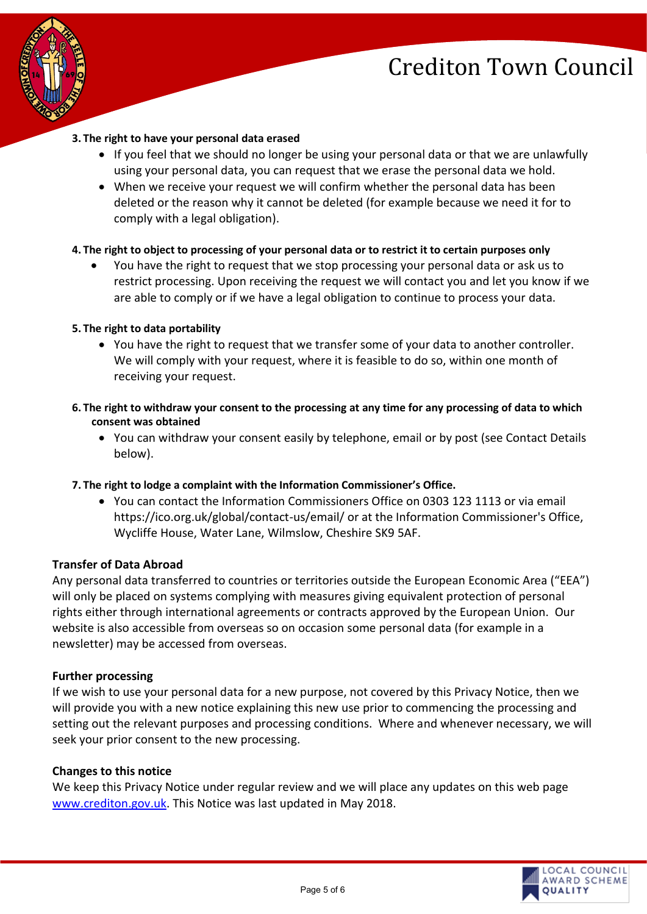



#### **3. The right to have your personal data erased**

- If you feel that we should no longer be using your personal data or that we are unlawfully using your personal data, you can request that we erase the personal data we hold.
- When we receive your request we will confirm whether the personal data has been deleted or the reason why it cannot be deleted (for example because we need it for to comply with a legal obligation).

#### **4. The right to object to processing of your personal data or to restrict it to certain purposes only**

• You have the right to request that we stop processing your personal data or ask us to restrict processing. Upon receiving the request we will contact you and let you know if we are able to comply or if we have a legal obligation to continue to process your data.

#### **5. The right to data portability**

- You have the right to request that we transfer some of your data to another controller. We will comply with your request, where it is feasible to do so, within one month of receiving your request.
- **6. The right to withdraw your consent to the processing at any time for any processing of data to which consent was obtained**
	- You can withdraw your consent easily by telephone, email or by post (see Contact Details below).

# **7. The right to lodge a complaint with the Information Commissioner's Office.**

• You can contact the Information Commissioners Office on 0303 123 1113 or via email https://ico.org.uk/global/contact-us/email/ or at the Information Commissioner's Office, Wycliffe House, Water Lane, Wilmslow, Cheshire SK9 5AF.

# **Transfer of Data Abroad**

Any personal data transferred to countries or territories outside the European Economic Area ("EEA") will only be placed on systems complying with measures giving equivalent protection of personal rights either through international agreements or contracts approved by the European Union. Our website is also accessible from overseas so on occasion some personal data (for example in a newsletter) may be accessed from overseas.

#### **Further processing**

If we wish to use your personal data for a new purpose, not covered by this Privacy Notice, then we will provide you with a new notice explaining this new use prior to commencing the processing and setting out the relevant purposes and processing conditions. Where and whenever necessary, we will seek your prior consent to the new processing.

#### **Changes to this notice**

We keep this Privacy Notice under regular review and we will place any updates on this web page [www.crediton.gov.uk.](http://www.crediton.gov.uk/) This Notice was last updated in May 2018.